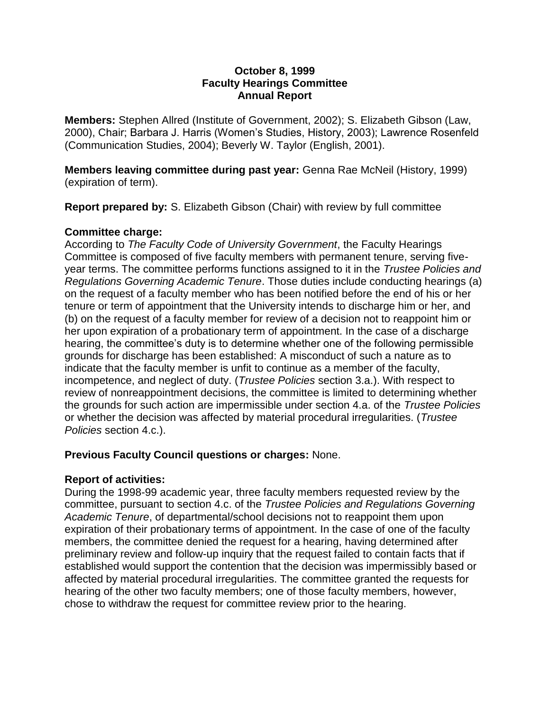#### **October 8, 1999 Faculty Hearings Committee Annual Report**

**Members:** Stephen Allred (Institute of Government, 2002); S. Elizabeth Gibson (Law, 2000), Chair; Barbara J. Harris (Women's Studies, History, 2003); Lawrence Rosenfeld (Communication Studies, 2004); Beverly W. Taylor (English, 2001).

**Members leaving committee during past year:** Genna Rae McNeil (History, 1999) (expiration of term).

**Report prepared by:** S. Elizabeth Gibson (Chair) with review by full committee

# **Committee charge:**

According to *The Faculty Code of University Government*, the Faculty Hearings Committee is composed of five faculty members with permanent tenure, serving fiveyear terms. The committee performs functions assigned to it in the *Trustee Policies and Regulations Governing Academic Tenure*. Those duties include conducting hearings (a) on the request of a faculty member who has been notified before the end of his or her tenure or term of appointment that the University intends to discharge him or her, and (b) on the request of a faculty member for review of a decision not to reappoint him or her upon expiration of a probationary term of appointment. In the case of a discharge hearing, the committee's duty is to determine whether one of the following permissible grounds for discharge has been established: A misconduct of such a nature as to indicate that the faculty member is unfit to continue as a member of the faculty, incompetence, and neglect of duty. (*Trustee Policies* section 3.a.). With respect to review of nonreappointment decisions, the committee is limited to determining whether the grounds for such action are impermissible under section 4.a. of the *Trustee Policies* or whether the decision was affected by material procedural irregularities. (*Trustee Policies* section 4.c.).

### **Previous Faculty Council questions or charges:** None.

### **Report of activities:**

During the 1998-99 academic year, three faculty members requested review by the committee, pursuant to section 4.c. of the *Trustee Policies and Regulations Governing Academic Tenure*, of departmental/school decisions not to reappoint them upon expiration of their probationary terms of appointment. In the case of one of the faculty members, the committee denied the request for a hearing, having determined after preliminary review and follow-up inquiry that the request failed to contain facts that if established would support the contention that the decision was impermissibly based or affected by material procedural irregularities. The committee granted the requests for hearing of the other two faculty members; one of those faculty members, however, chose to withdraw the request for committee review prior to the hearing.